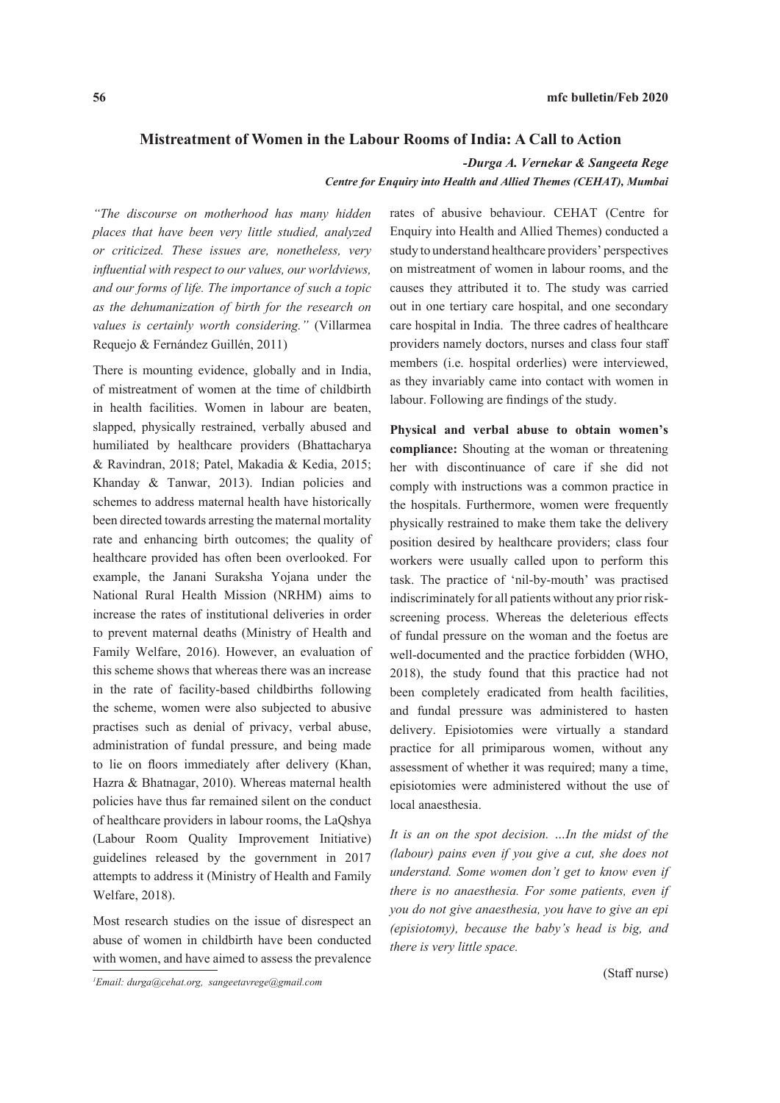## **Mistreatment of Women in the Labour Rooms of India: A Call to Action**

*-Durga A. Vernekar & Sangeeta Rege*

*Centre for Enquiry into Health and Allied Themes (CEHAT), Mumbai*

*"The discourse on motherhood has many hidden places that have been very little studied, analyzed or criticized. These issues are, nonetheless, very influential with respect to our values, our worldviews, and our forms of life. The importance of such a topic as the dehumanization of birth for the research on values is certainly worth considering."* (Villarmea Requejo & Fernández Guillén, 2011)

There is mounting evidence, globally and in India, of mistreatment of women at the time of childbirth in health facilities. Women in labour are beaten, slapped, physically restrained, verbally abused and humiliated by healthcare providers (Bhattacharya & Ravindran, 2018; Patel, Makadia & Kedia, 2015; Khanday & Tanwar, 2013). Indian policies and schemes to address maternal health have historically been directed towards arresting the maternal mortality rate and enhancing birth outcomes; the quality of healthcare provided has often been overlooked. For example, the Janani Suraksha Yojana under the National Rural Health Mission (NRHM) aims to increase the rates of institutional deliveries in order to prevent maternal deaths (Ministry of Health and Family Welfare, 2016). However, an evaluation of this scheme shows that whereas there was an increase in the rate of facility-based childbirths following the scheme, women were also subjected to abusive practises such as denial of privacy, verbal abuse, administration of fundal pressure, and being made to lie on floors immediately after delivery (Khan, Hazra & Bhatnagar, 2010). Whereas maternal health policies have thus far remained silent on the conduct of healthcare providers in labour rooms, the LaQshya (Labour Room Quality Improvement Initiative) guidelines released by the government in 2017 attempts to address it (Ministry of Health and Family Welfare, 2018).

Most research studies on the issue of disrespect an abuse of women in childbirth have been conducted with women, and have aimed to assess the prevalence

rates of abusive behaviour. CEHAT (Centre for Enquiry into Health and Allied Themes) conducted a study to understand healthcare providers' perspectives on mistreatment of women in labour rooms, and the causes they attributed it to. The study was carried out in one tertiary care hospital, and one secondary care hospital in India. The three cadres of healthcare providers namely doctors, nurses and class four staff members (i.e. hospital orderlies) were interviewed, as they invariably came into contact with women in labour. Following are findings of the study.

**Physical and verbal abuse to obtain women's compliance:** Shouting at the woman or threatening her with discontinuance of care if she did not comply with instructions was a common practice in the hospitals. Furthermore, women were frequently physically restrained to make them take the delivery position desired by healthcare providers; class four workers were usually called upon to perform this task. The practice of 'nil-by-mouth' was practised indiscriminately for all patients without any prior riskscreening process. Whereas the deleterious effects of fundal pressure on the woman and the foetus are well-documented and the practice forbidden (WHO, 2018), the study found that this practice had not been completely eradicated from health facilities, and fundal pressure was administered to hasten delivery. Episiotomies were virtually a standard practice for all primiparous women, without any assessment of whether it was required; many a time, episiotomies were administered without the use of local anaesthesia.

*It is an on the spot decision. …In the midst of the (labour) pains even if you give a cut, she does not understand. Some women don't get to know even if there is no anaesthesia. For some patients, even if you do not give anaesthesia, you have to give an epi (episiotomy), because the baby's head is big, and there is very little space.*

<sup>(</sup>Staff nurse) *<sup>1</sup> Email: durga@cehat.org, sangeetavrege@gmail.com*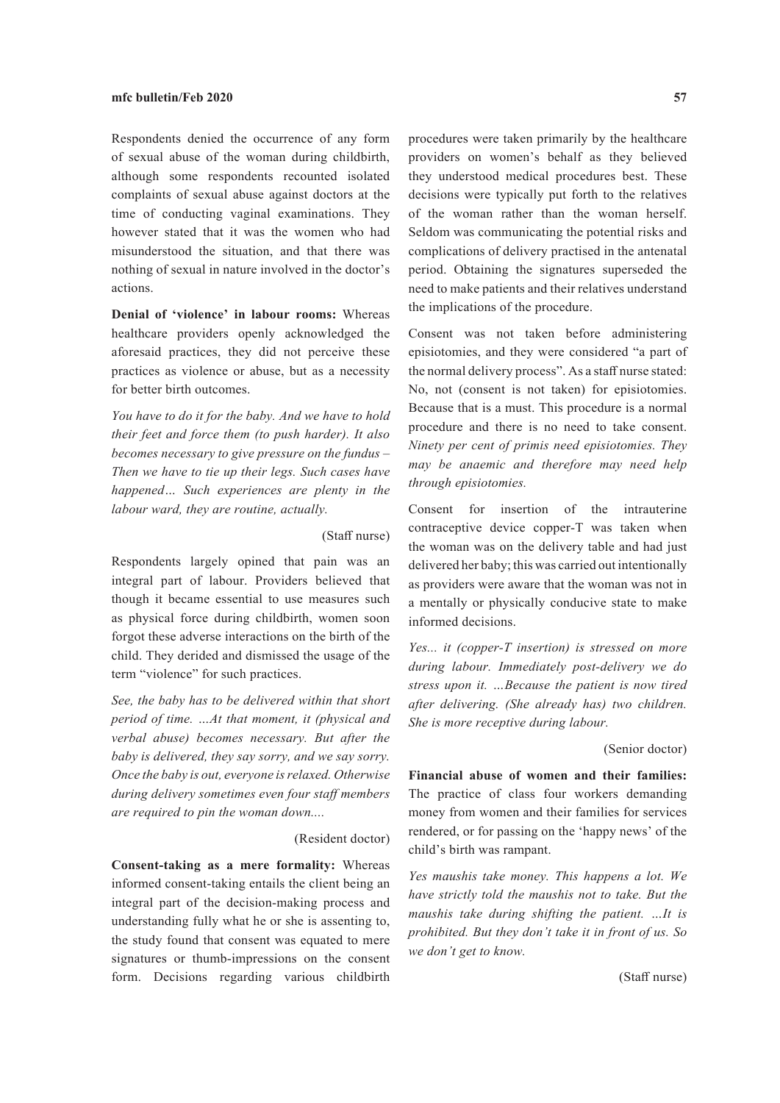Respondents denied the occurrence of any form of sexual abuse of the woman during childbirth, although some respondents recounted isolated complaints of sexual abuse against doctors at the time of conducting vaginal examinations. They however stated that it was the women who had misunderstood the situation, and that there was nothing of sexual in nature involved in the doctor's actions.

**Denial of 'violence' in labour rooms:** Whereas healthcare providers openly acknowledged the aforesaid practices, they did not perceive these practices as violence or abuse, but as a necessity for better birth outcomes.

*You have to do it for the baby. And we have to hold their feet and force them (to push harder). It also becomes necessary to give pressure on the fundus – Then we have to tie up their legs. Such cases have happened… Such experiences are plenty in the labour ward, they are routine, actually.*

### (Staff nurse)

Respondents largely opined that pain was an integral part of labour. Providers believed that though it became essential to use measures such as physical force during childbirth, women soon forgot these adverse interactions on the birth of the child. They derided and dismissed the usage of the term "violence" for such practices.

*See, the baby has to be delivered within that short period of time. …At that moment, it (physical and verbal abuse) becomes necessary. But after the baby is delivered, they say sorry, and we say sorry. Once the baby is out, everyone is relaxed. Otherwise during delivery sometimes even four staff members are required to pin the woman down....*

# (Resident doctor)

**Consent-taking as a mere formality:** Whereas informed consent-taking entails the client being an integral part of the decision-making process and understanding fully what he or she is assenting to, the study found that consent was equated to mere signatures or thumb-impressions on the consent form. Decisions regarding various childbirth

procedures were taken primarily by the healthcare providers on women's behalf as they believed they understood medical procedures best. These decisions were typically put forth to the relatives of the woman rather than the woman herself. Seldom was communicating the potential risks and complications of delivery practised in the antenatal period. Obtaining the signatures superseded the need to make patients and their relatives understand the implications of the procedure.

Consent was not taken before administering episiotomies, and they were considered "a part of the normal delivery process". As a staff nurse stated: No, not (consent is not taken) for episiotomies. Because that is a must. This procedure is a normal procedure and there is no need to take consent. *Ninety per cent of primis need episiotomies. They may be anaemic and therefore may need help through episiotomies.*

Consent for insertion of the intrauterine contraceptive device copper-T was taken when the woman was on the delivery table and had just delivered her baby; this was carried out intentionally as providers were aware that the woman was not in a mentally or physically conducive state to make informed decisions.

*Yes... it (copper-T insertion) is stressed on more during labour. Immediately post-delivery we do stress upon it. …Because the patient is now tired after delivering. (She already has) two children. She is more receptive during labour.*

#### (Senior doctor)

**Financial abuse of women and their families:**  The practice of class four workers demanding money from women and their families for services rendered, or for passing on the 'happy news' of the child's birth was rampant.

*Yes maushis take money. This happens a lot. We have strictly told the maushis not to take. But the maushis take during shifting the patient. …It is prohibited. But they don't take it in front of us. So we don't get to know.*

(Staff nurse)